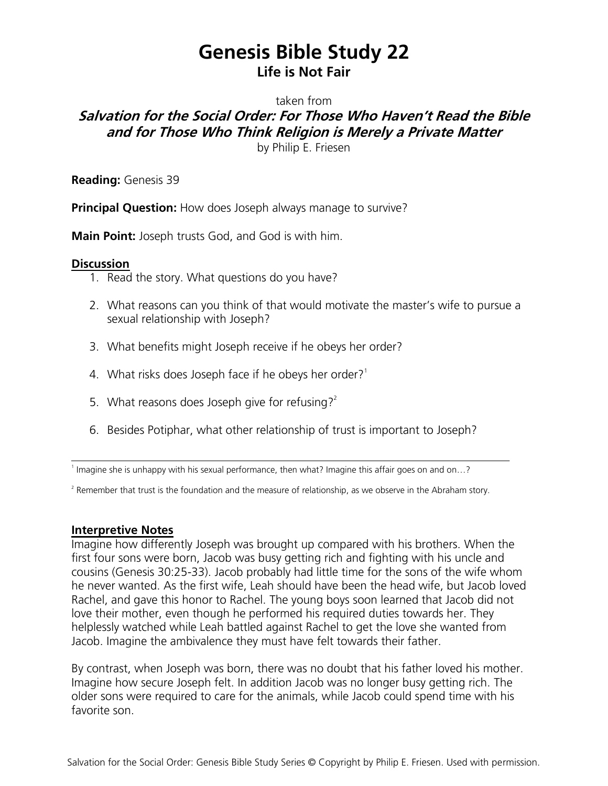## **Genesis Bible Study 22 Life is Not Fair**

taken from

## **Salvation for the Social Order: For Those Who Haven't Read the Bible and for Those Who Think Religion is Merely a Private Matter**

by Philip E. Friesen

**Reading:** Genesis 39

**Principal Question:** How does Joseph always manage to survive?

**Main Point:** Joseph trusts God, and God is with him.

## **Discussion**

- 1. Read the story. What questions do you have?
- 2. What reasons can you think of that would motivate the master's wife to pursue a sexual relationship with Joseph?
- 3. What benefits might Joseph receive if he obeys her order?
- 4. What risks does Joseph face if he obeys her order?<sup>1</sup>
- 5. What reasons does Joseph give for refusing?<sup>2</sup>
- 6. Besides Potiphar, what other relationship of trust is important to Joseph?

1 Imagine she is unhappy with his sexual performance, then what? Imagine this affair goes on and on…?

<sup>2</sup> Remember that trust is the foundation and the measure of relationship, as we observe in the Abraham story.

## **Interpretive Notes**

Imagine how differently Joseph was brought up compared with his brothers. When the first four sons were born, Jacob was busy getting rich and fighting with his uncle and cousins (Genesis 30:25-33). Jacob probably had little time for the sons of the wife whom he never wanted. As the first wife, Leah should have been the head wife, but Jacob loved Rachel, and gave this honor to Rachel. The young boys soon learned that Jacob did not love their mother, even though he performed his required duties towards her. They helplessly watched while Leah battled against Rachel to get the love she wanted from Jacob. Imagine the ambivalence they must have felt towards their father.

By contrast, when Joseph was born, there was no doubt that his father loved his mother. Imagine how secure Joseph felt. In addition Jacob was no longer busy getting rich. The older sons were required to care for the animals, while Jacob could spend time with his favorite son.